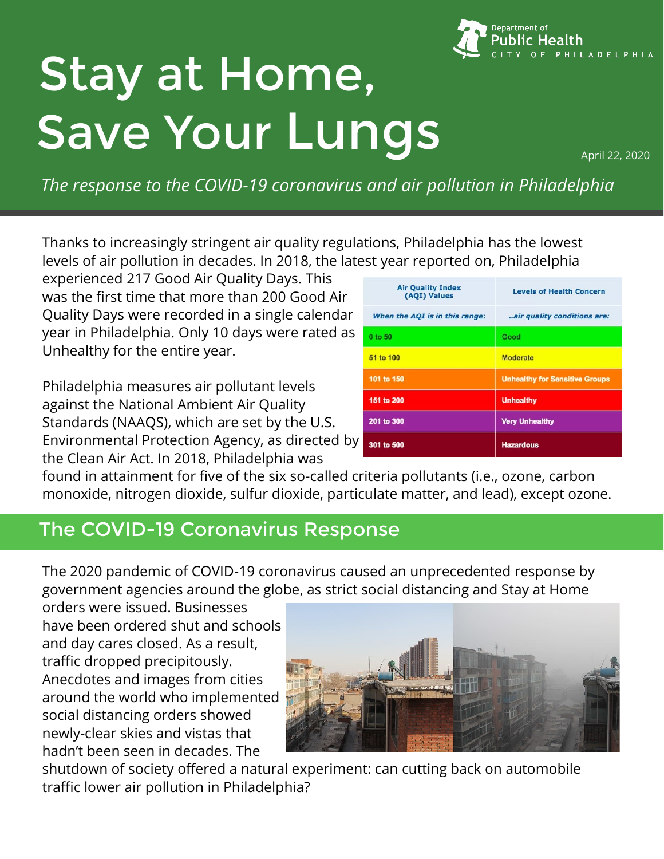

# Stay at Home, Save Your Lungs

*The response to the COVID-19 coronavirus and air pollution in Philadelphia*

Thanks to increasingly stringent air quality regulations, Philadelphia has the lowest levels of air pollution in decades. In 2018, the latest year reported on, Philadelphia

experienced 217 Good Air Quality Days. This was the first time that more than 200 Good Air Quality Days were recorded in a single calendar year in Philadelphia. Only 10 days were rated as Unhealthy for the entire year.

Philadelphia measures air pollutant levels against the National Ambient Air Quality Standards (NAAQS), which are set by the U.S. Environmental Protection Agency, as directed by the Clean Air Act. In 2018, Philadelphia was

| <b>Air Quality Index</b><br>(AQI) Values | <b>Levels of Health Concern</b>       |
|------------------------------------------|---------------------------------------|
| When the AQI is in this range:           | air quality conditions are:           |
| 0 to 50                                  | Good                                  |
| 51 to 100                                | <b>Moderate</b>                       |
| 101 to 150                               | <b>Unhealthy for Sensitive Groups</b> |
| 151 to 200                               | <b>Unhealthy</b>                      |
| 201 to 300                               | <b>Very Unhealthy</b>                 |
| 301 to 500                               | <b>Hazardous</b>                      |

found in attainment for five of the six so-called criteria pollutants (i.e., ozone, carbon monoxide, nitrogen dioxide, sulfur dioxide, particulate matter, and lead), except ozone.

### The COVID-19 Coronavirus Response

The 2020 pandemic of COVID-19 coronavirus caused an unprecedented response by government agencies around the globe, as strict social distancing and Stay at Home

orders were issued. Businesses have been ordered shut and schools and day cares closed. As a result, traffic dropped precipitously. Anecdotes and images from cities around the world who implemented social distancing orders showed newly-clear skies and vistas that hadn't been seen in decades. The



shutdown of society offered a natural experiment: can cutting back on automobile traffic lower air pollution in Philadelphia?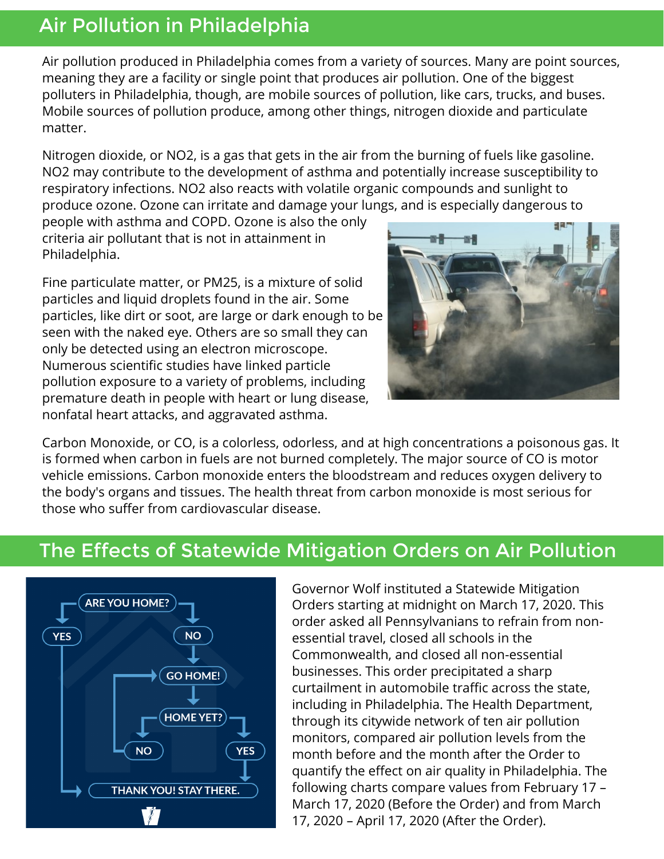#### Air Pollution in Philadelphia

Air pollution produced in Philadelphia comes from a variety of sources. Many are point sources, meaning they are a facility or single point that produces air pollution. One of the biggest polluters in Philadelphia, though, are mobile sources of pollution, like cars, trucks, and buses. Mobile sources of pollution produce, among other things, nitrogen dioxide and particulate matter.

Nitrogen dioxide, or NO2, is a gas that gets in the air from the burning of fuels like gasoline. NO2 may contribute to the development of asthma and potentially increase susceptibility to respiratory infections. NO2 also reacts with volatile organic compounds and sunlight to produce ozone. Ozone can irritate and damage your lungs, and is especially dangerous to

people with asthma and COPD. Ozone is also the only criteria air pollutant that is not in attainment in Philadelphia.

Fine particulate matter, or PM25, is a mixture of solid particles and liquid droplets found in the air. Some particles, like dirt or soot, are large or dark enough to be seen with the naked eye. Others are so small they can only be detected using an electron microscope. Numerous scientific studies have linked particle pollution exposure to a variety of problems, including premature death in people with heart or lung disease, nonfatal heart attacks, and aggravated asthma.



Carbon Monoxide, or CO, is a colorless, odorless, and at high concentrations a poisonous gas. It is formed when carbon in fuels are not burned completely. The major source of CO is motor vehicle emissions. Carbon monoxide enters the bloodstream and reduces oxygen delivery to the body's organs and tissues. The health threat from carbon monoxide is most serious for those who suffer from cardiovascular disease.

# The Effects of Statewide Mitigation Orders on Air Pollution



Governor Wolf instituted a Statewide Mitigation Orders starting at midnight on March 17, 2020. This order asked all Pennsylvanians to refrain from nonessential travel, closed all schools in the Commonwealth, and closed all non-essential businesses. This order precipitated a sharp curtailment in automobile traffic across the state, including in Philadelphia. The Health Department, through its citywide network of ten air pollution monitors, compared air pollution levels from the month before and the month after the Order to quantify the effect on air quality in Philadelphia. The following charts compare values from February 17 – March 17, 2020 (Before the Order) and from March 17, 2020 – April 17, 2020 (After the Order).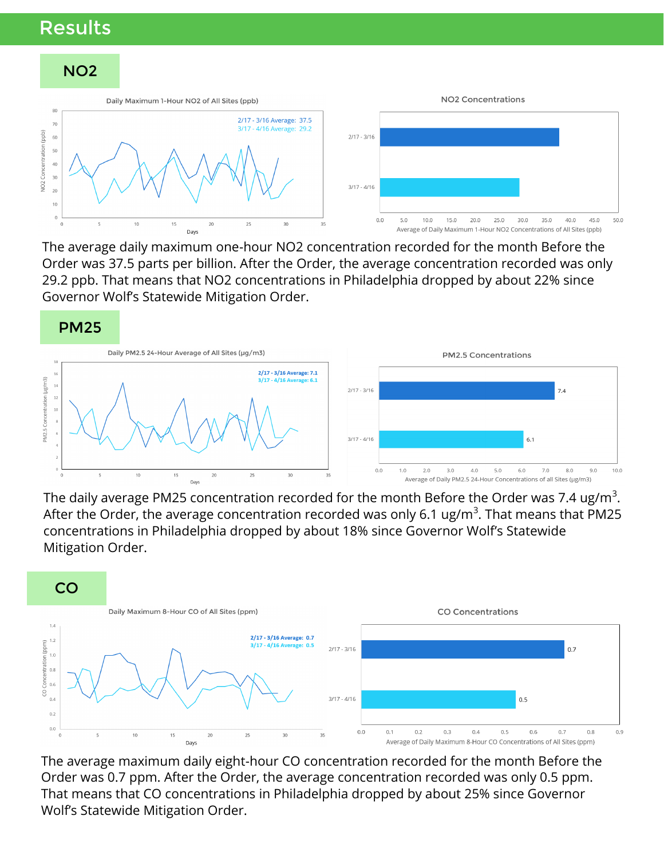#### Results



The average daily maximum one-hour NO2 concentration recorded for the month Before the Order was 37.5 parts per billion. After the Order, the average concentration recorded was only 29.2 ppb. That means that NO2 concentrations in Philadelphia dropped by about 22% since Governor Wolf's Statewide Mitigation Order.



The daily average PM25 concentration recorded for the month Before the Order was 7.4 ug/m $^3\!$ . After the Order, the average concentration recorded was only 6.1 ug/m $^3$ . That means that PM25 concentrations in Philadelphia dropped by about 18% since Governor Wolf's Statewide Mitigation Order.



The average maximum daily eight-hour CO concentration recorded for the month Before the Order was 0.7 ppm. After the Order, the average concentration recorded was only 0.5 ppm. That means that CO concentrations in Philadelphia dropped by about 25% since Governor Wolf's Statewide Mitigation Order.